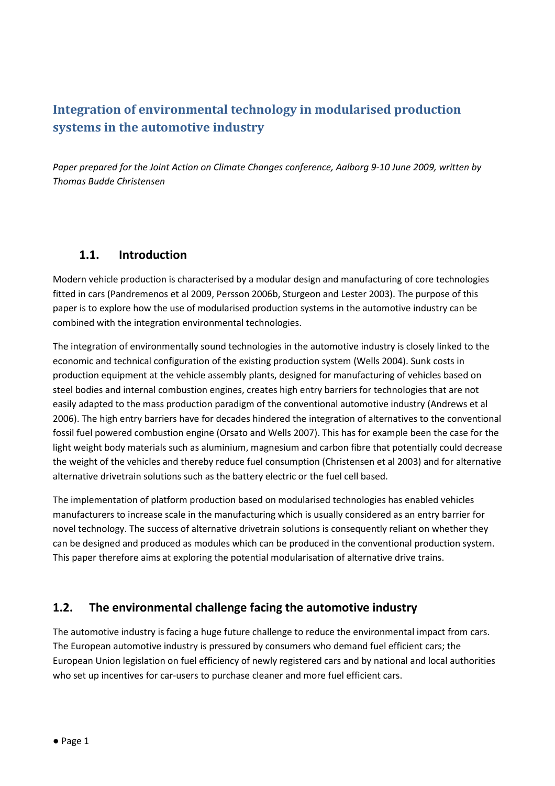# Integration of environmental technology in modularised production systems in the automotive industry

Paper prepared for the Joint Action on Climate Changes conference, Aalborg 9-10 June 2009, written by Thomas Budde Christensen

### 1.1. Introduction

Modern vehicle production is characterised by a modular design and manufacturing of core technologies fitted in cars (Pandremenos et al 2009, Persson 2006b, Sturgeon and Lester 2003). The purpose of this paper is to explore how the use of modularised production systems in the automotive industry can be combined with the integration environmental technologies.

The integration of environmentally sound technologies in the automotive industry is closely linked to the economic and technical configuration of the existing production system (Wells 2004). Sunk costs in production equipment at the vehicle assembly plants, designed for manufacturing of vehicles based on steel bodies and internal combustion engines, creates high entry barriers for technologies that are not easily adapted to the mass production paradigm of the conventional automotive industry (Andrews et al 2006). The high entry barriers have for decades hindered the integration of alternatives to the conventional fossil fuel powered combustion engine (Orsato and Wells 2007). This has for example been the case for the light weight body materials such as aluminium, magnesium and carbon fibre that potentially could decrease the weight of the vehicles and thereby reduce fuel consumption (Christensen et al 2003) and for alternative alternative drivetrain solutions such as the battery electric or the fuel cell based.

The implementation of platform production based on modularised technologies has enabled vehicles manufacturers to increase scale in the manufacturing which is usually considered as an entry barrier for novel technology. The success of alternative drivetrain solutions is consequently reliant on whether they can be designed and produced as modules which can be produced in the conventional production system. This paper therefore aims at exploring the potential modularisation of alternative drive trains.

### 1.2. The environmental challenge facing the automotive industry

The automotive industry is facing a huge future challenge to reduce the environmental impact from cars. The European automotive industry is pressured by consumers who demand fuel efficient cars; the European Union legislation on fuel efficiency of newly registered cars and by national and local authorities who set up incentives for car-users to purchase cleaner and more fuel efficient cars.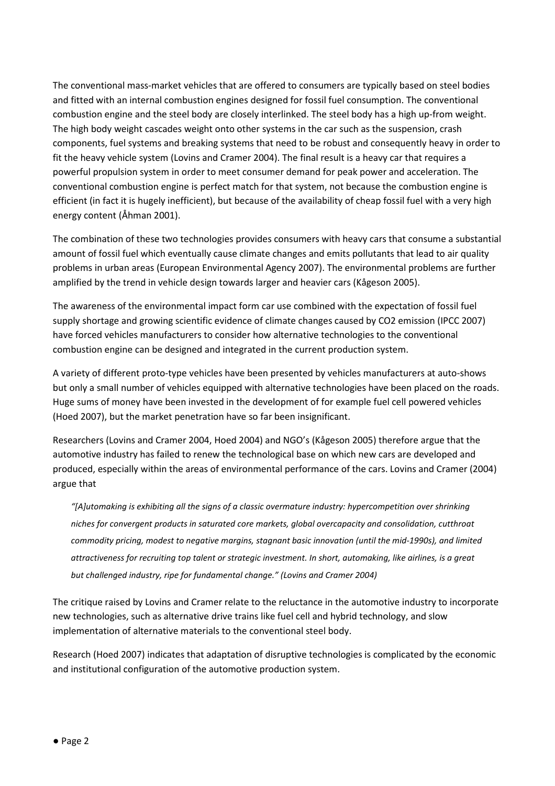The conventional mass-market vehicles that are offered to consumers are typically based on steel bodies and fitted with an internal combustion engines designed for fossil fuel consumption. The conventional combustion engine and the steel body are closely interlinked. The steel body has a high up-from weight. The high body weight cascades weight onto other systems in the car such as the suspension, crash components, fuel systems and breaking systems that need to be robust and consequently heavy in order to fit the heavy vehicle system (Lovins and Cramer 2004). The final result is a heavy car that requires a powerful propulsion system in order to meet consumer demand for peak power and acceleration. The conventional combustion engine is perfect match for that system, not because the combustion engine is efficient (in fact it is hugely inefficient), but because of the availability of cheap fossil fuel with a very high energy content (Åhman 2001).

The combination of these two technologies provides consumers with heavy cars that consume a substantial amount of fossil fuel which eventually cause climate changes and emits pollutants that lead to air quality problems in urban areas (European Environmental Agency 2007). The environmental problems are further amplified by the trend in vehicle design towards larger and heavier cars (Kågeson 2005).

The awareness of the environmental impact form car use combined with the expectation of fossil fuel supply shortage and growing scientific evidence of climate changes caused by CO2 emission (IPCC 2007) have forced vehicles manufacturers to consider how alternative technologies to the conventional combustion engine can be designed and integrated in the current production system.

A variety of different proto-type vehicles have been presented by vehicles manufacturers at auto-shows but only a small number of vehicles equipped with alternative technologies have been placed on the roads. Huge sums of money have been invested in the development of for example fuel cell powered vehicles (Hoed 2007), but the market penetration have so far been insignificant.

Researchers (Lovins and Cramer 2004, Hoed 2004) and NGO's (Kågeson 2005) therefore argue that the automotive industry has failed to renew the technological base on which new cars are developed and produced, especially within the areas of environmental performance of the cars. Lovins and Cramer (2004) argue that

"[A]utomaking is exhibiting all the signs of a classic overmature industry: hypercompetition over shrinking niches for convergent products in saturated core markets, global overcapacity and consolidation, cutthroat commodity pricing, modest to negative margins, stagnant basic innovation (until the mid-1990s), and limited attractiveness for recruiting top talent or strategic investment. In short, automaking, like airlines, is a great but challenged industry, ripe for fundamental change." (Lovins and Cramer 2004)

The critique raised by Lovins and Cramer relate to the reluctance in the automotive industry to incorporate new technologies, such as alternative drive trains like fuel cell and hybrid technology, and slow implementation of alternative materials to the conventional steel body.

Research (Hoed 2007) indicates that adaptation of disruptive technologies is complicated by the economic and institutional configuration of the automotive production system.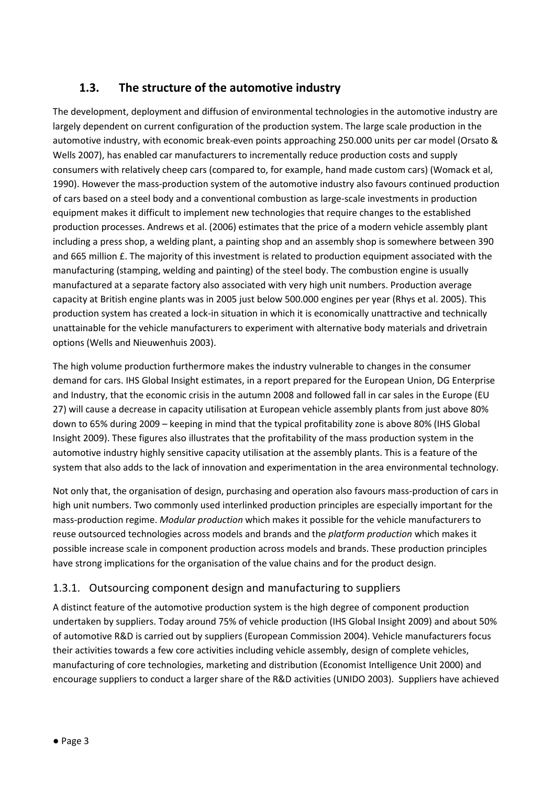## 1.3. The structure of the automotive industry

The development, deployment and diffusion of environmental technologies in the automotive industry are largely dependent on current configuration of the production system. The large scale production in the automotive industry, with economic break-even points approaching 250.000 units per car model (Orsato & Wells 2007), has enabled car manufacturers to incrementally reduce production costs and supply consumers with relatively cheep cars (compared to, for example, hand made custom cars) (Womack et al, 1990). However the mass-production system of the automotive industry also favours continued production of cars based on a steel body and a conventional combustion as large-scale investments in production equipment makes it difficult to implement new technologies that require changes to the established production processes. Andrews et al. (2006) estimates that the price of a modern vehicle assembly plant including a press shop, a welding plant, a painting shop and an assembly shop is somewhere between 390 and 665 million £. The majority of this investment is related to production equipment associated with the manufacturing (stamping, welding and painting) of the steel body. The combustion engine is usually manufactured at a separate factory also associated with very high unit numbers. Production average capacity at British engine plants was in 2005 just below 500.000 engines per year (Rhys et al. 2005). This production system has created a lock-in situation in which it is economically unattractive and technically unattainable for the vehicle manufacturers to experiment with alternative body materials and drivetrain options (Wells and Nieuwenhuis 2003).

The high volume production furthermore makes the industry vulnerable to changes in the consumer demand for cars. IHS Global Insight estimates, in a report prepared for the European Union, DG Enterprise and Industry, that the economic crisis in the autumn 2008 and followed fall in car sales in the Europe (EU 27) will cause a decrease in capacity utilisation at European vehicle assembly plants from just above 80% down to 65% during 2009 – keeping in mind that the typical profitability zone is above 80% (IHS Global Insight 2009). These figures also illustrates that the profitability of the mass production system in the automotive industry highly sensitive capacity utilisation at the assembly plants. This is a feature of the system that also adds to the lack of innovation and experimentation in the area environmental technology.

Not only that, the organisation of design, purchasing and operation also favours mass-production of cars in high unit numbers. Two commonly used interlinked production principles are especially important for the mass-production regime. Modular production which makes it possible for the vehicle manufacturers to reuse outsourced technologies across models and brands and the platform production which makes it possible increase scale in component production across models and brands. These production principles have strong implications for the organisation of the value chains and for the product design.

### 1.3.1. Outsourcing component design and manufacturing to suppliers

A distinct feature of the automotive production system is the high degree of component production undertaken by suppliers. Today around 75% of vehicle production (IHS Global Insight 2009) and about 50% of automotive R&D is carried out by suppliers (European Commission 2004). Vehicle manufacturers focus their activities towards a few core activities including vehicle assembly, design of complete vehicles, manufacturing of core technologies, marketing and distribution (Economist Intelligence Unit 2000) and encourage suppliers to conduct a larger share of the R&D activities (UNIDO 2003). Suppliers have achieved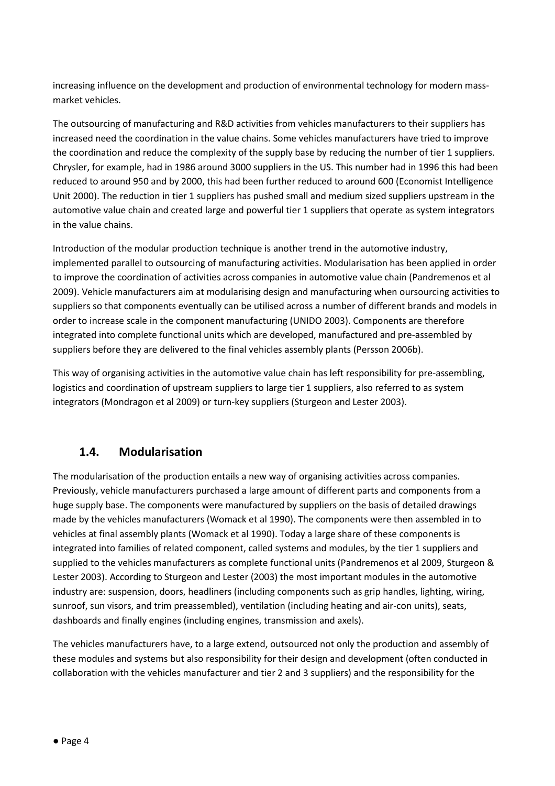increasing influence on the development and production of environmental technology for modern massmarket vehicles.

The outsourcing of manufacturing and R&D activities from vehicles manufacturers to their suppliers has increased need the coordination in the value chains. Some vehicles manufacturers have tried to improve the coordination and reduce the complexity of the supply base by reducing the number of tier 1 suppliers. Chrysler, for example, had in 1986 around 3000 suppliers in the US. This number had in 1996 this had been reduced to around 950 and by 2000, this had been further reduced to around 600 (Economist Intelligence Unit 2000). The reduction in tier 1 suppliers has pushed small and medium sized suppliers upstream in the automotive value chain and created large and powerful tier 1 suppliers that operate as system integrators in the value chains.

Introduction of the modular production technique is another trend in the automotive industry, implemented parallel to outsourcing of manufacturing activities. Modularisation has been applied in order to improve the coordination of activities across companies in automotive value chain (Pandremenos et al 2009). Vehicle manufacturers aim at modularising design and manufacturing when oursourcing activities to suppliers so that components eventually can be utilised across a number of different brands and models in order to increase scale in the component manufacturing (UNIDO 2003). Components are therefore integrated into complete functional units which are developed, manufactured and pre-assembled by suppliers before they are delivered to the final vehicles assembly plants (Persson 2006b).

This way of organising activities in the automotive value chain has left responsibility for pre-assembling, logistics and coordination of upstream suppliers to large tier 1 suppliers, also referred to as system integrators (Mondragon et al 2009) or turn-key suppliers (Sturgeon and Lester 2003).

### 1.4. Modularisation

The modularisation of the production entails a new way of organising activities across companies. Previously, vehicle manufacturers purchased a large amount of different parts and components from a huge supply base. The components were manufactured by suppliers on the basis of detailed drawings made by the vehicles manufacturers (Womack et al 1990). The components were then assembled in to vehicles at final assembly plants (Womack et al 1990). Today a large share of these components is integrated into families of related component, called systems and modules, by the tier 1 suppliers and supplied to the vehicles manufacturers as complete functional units (Pandremenos et al 2009, Sturgeon & Lester 2003). According to Sturgeon and Lester (2003) the most important modules in the automotive industry are: suspension, doors, headliners (including components such as grip handles, lighting, wiring, sunroof, sun visors, and trim preassembled), ventilation (including heating and air-con units), seats, dashboards and finally engines (including engines, transmission and axels).

The vehicles manufacturers have, to a large extend, outsourced not only the production and assembly of these modules and systems but also responsibility for their design and development (often conducted in collaboration with the vehicles manufacturer and tier 2 and 3 suppliers) and the responsibility for the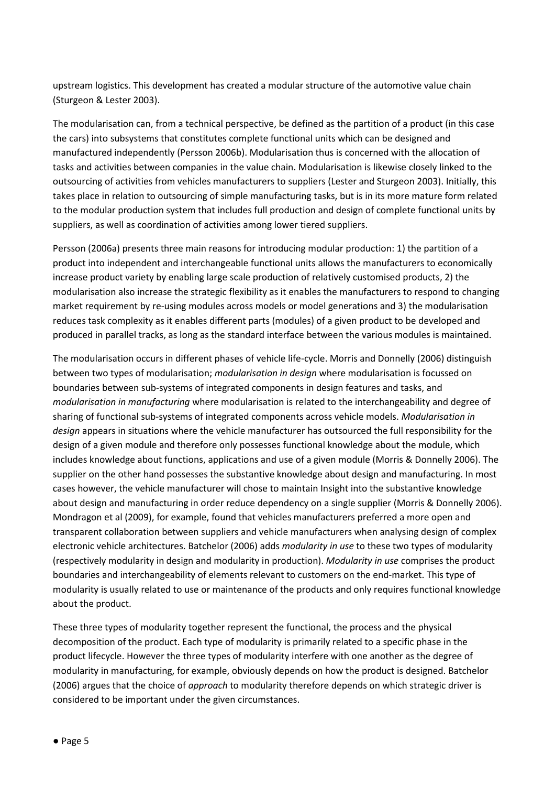upstream logistics. This development has created a modular structure of the automotive value chain (Sturgeon & Lester 2003).

The modularisation can, from a technical perspective, be defined as the partition of a product (in this case the cars) into subsystems that constitutes complete functional units which can be designed and manufactured independently (Persson 2006b). Modularisation thus is concerned with the allocation of tasks and activities between companies in the value chain. Modularisation is likewise closely linked to the outsourcing of activities from vehicles manufacturers to suppliers (Lester and Sturgeon 2003). Initially, this takes place in relation to outsourcing of simple manufacturing tasks, but is in its more mature form related to the modular production system that includes full production and design of complete functional units by suppliers, as well as coordination of activities among lower tiered suppliers.

Persson (2006a) presents three main reasons for introducing modular production: 1) the partition of a product into independent and interchangeable functional units allows the manufacturers to economically increase product variety by enabling large scale production of relatively customised products, 2) the modularisation also increase the strategic flexibility as it enables the manufacturers to respond to changing market requirement by re-using modules across models or model generations and 3) the modularisation reduces task complexity as it enables different parts (modules) of a given product to be developed and produced in parallel tracks, as long as the standard interface between the various modules is maintained.

The modularisation occurs in different phases of vehicle life-cycle. Morris and Donnelly (2006) distinguish between two types of modularisation; modularisation in design where modularisation is focussed on boundaries between sub-systems of integrated components in design features and tasks, and modularisation in manufacturing where modularisation is related to the interchangeability and degree of sharing of functional sub-systems of integrated components across vehicle models. Modularisation in design appears in situations where the vehicle manufacturer has outsourced the full responsibility for the design of a given module and therefore only possesses functional knowledge about the module, which includes knowledge about functions, applications and use of a given module (Morris & Donnelly 2006). The supplier on the other hand possesses the substantive knowledge about design and manufacturing. In most cases however, the vehicle manufacturer will chose to maintain Insight into the substantive knowledge about design and manufacturing in order reduce dependency on a single supplier (Morris & Donnelly 2006). Mondragon et al (2009), for example, found that vehicles manufacturers preferred a more open and transparent collaboration between suppliers and vehicle manufacturers when analysing design of complex electronic vehicle architectures. Batchelor (2006) adds modularity in use to these two types of modularity (respectively modularity in design and modularity in production). Modularity in use comprises the product boundaries and interchangeability of elements relevant to customers on the end-market. This type of modularity is usually related to use or maintenance of the products and only requires functional knowledge about the product.

These three types of modularity together represent the functional, the process and the physical decomposition of the product. Each type of modularity is primarily related to a specific phase in the product lifecycle. However the three types of modularity interfere with one another as the degree of modularity in manufacturing, for example, obviously depends on how the product is designed. Batchelor (2006) argues that the choice of *approach* to modularity therefore depends on which strategic driver is considered to be important under the given circumstances.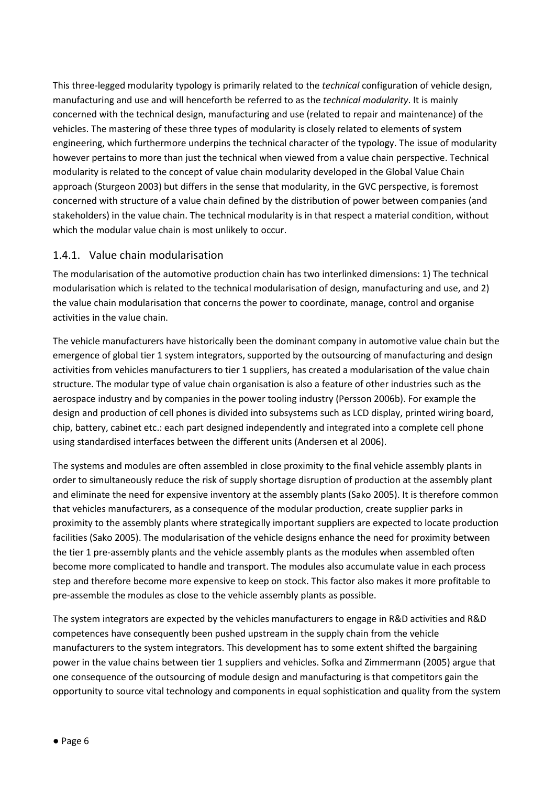This three-legged modularity typology is primarily related to the technical configuration of vehicle design, manufacturing and use and will henceforth be referred to as the technical modularity. It is mainly concerned with the technical design, manufacturing and use (related to repair and maintenance) of the vehicles. The mastering of these three types of modularity is closely related to elements of system engineering, which furthermore underpins the technical character of the typology. The issue of modularity however pertains to more than just the technical when viewed from a value chain perspective. Technical modularity is related to the concept of value chain modularity developed in the Global Value Chain approach (Sturgeon 2003) but differs in the sense that modularity, in the GVC perspective, is foremost concerned with structure of a value chain defined by the distribution of power between companies (and stakeholders) in the value chain. The technical modularity is in that respect a material condition, without which the modular value chain is most unlikely to occur.

### 1.4.1. Value chain modularisation

The modularisation of the automotive production chain has two interlinked dimensions: 1) The technical modularisation which is related to the technical modularisation of design, manufacturing and use, and 2) the value chain modularisation that concerns the power to coordinate, manage, control and organise activities in the value chain.

The vehicle manufacturers have historically been the dominant company in automotive value chain but the emergence of global tier 1 system integrators, supported by the outsourcing of manufacturing and design activities from vehicles manufacturers to tier 1 suppliers, has created a modularisation of the value chain structure. The modular type of value chain organisation is also a feature of other industries such as the aerospace industry and by companies in the power tooling industry (Persson 2006b). For example the design and production of cell phones is divided into subsystems such as LCD display, printed wiring board, chip, battery, cabinet etc.: each part designed independently and integrated into a complete cell phone using standardised interfaces between the different units (Andersen et al 2006).

The systems and modules are often assembled in close proximity to the final vehicle assembly plants in order to simultaneously reduce the risk of supply shortage disruption of production at the assembly plant and eliminate the need for expensive inventory at the assembly plants (Sako 2005). It is therefore common that vehicles manufacturers, as a consequence of the modular production, create supplier parks in proximity to the assembly plants where strategically important suppliers are expected to locate production facilities (Sako 2005). The modularisation of the vehicle designs enhance the need for proximity between the tier 1 pre-assembly plants and the vehicle assembly plants as the modules when assembled often become more complicated to handle and transport. The modules also accumulate value in each process step and therefore become more expensive to keep on stock. This factor also makes it more profitable to pre-assemble the modules as close to the vehicle assembly plants as possible.

The system integrators are expected by the vehicles manufacturers to engage in R&D activities and R&D competences have consequently been pushed upstream in the supply chain from the vehicle manufacturers to the system integrators. This development has to some extent shifted the bargaining power in the value chains between tier 1 suppliers and vehicles. Sofka and Zimmermann (2005) argue that one consequence of the outsourcing of module design and manufacturing is that competitors gain the opportunity to source vital technology and components in equal sophistication and quality from the system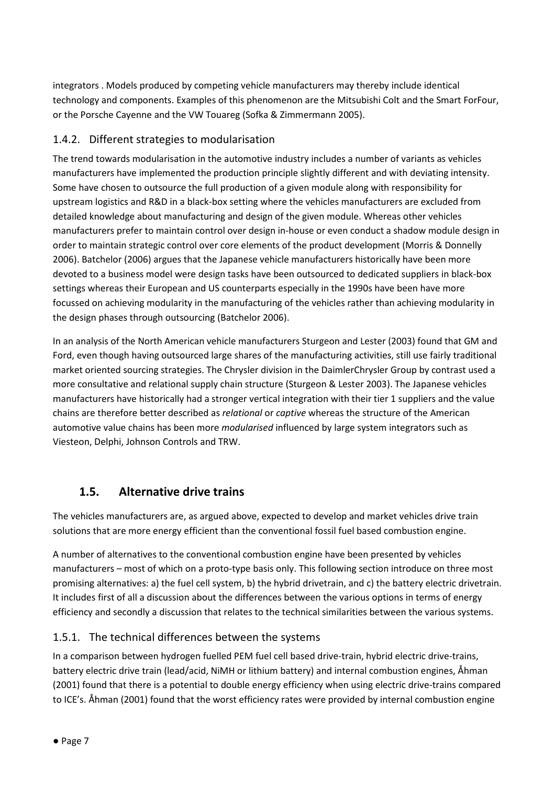integrators . Models produced by competing vehicle manufacturers may thereby include identical technology and components. Examples of this phenomenon are the Mitsubishi Colt and the Smart ForFour, or the Porsche Cayenne and the VW Touareg (Sofka & Zimmermann 2005).

### 1.4.2. Different strategies to modularisation

The trend towards modularisation in the automotive industry includes a number of variants as vehicles manufacturers have implemented the production principle slightly different and with deviating intensity. Some have chosen to outsource the full production of a given module along with responsibility for upstream logistics and R&D in a black-box setting where the vehicles manufacturers are excluded from detailed knowledge about manufacturing and design of the given module. Whereas other vehicles manufacturers prefer to maintain control over design in-house or even conduct a shadow module design in order to maintain strategic control over core elements of the product development (Morris & Donnelly 2006). Batchelor (2006) argues that the Japanese vehicle manufacturers historically have been more devoted to a business model were design tasks have been outsourced to dedicated suppliers in black-box settings whereas their European and US counterparts especially in the 1990s have been have more focussed on achieving modularity in the manufacturing of the vehicles rather than achieving modularity in the design phases through outsourcing (Batchelor 2006).

In an analysis of the North American vehicle manufacturers Sturgeon and Lester (2003) found that GM and Ford, even though having outsourced large shares of the manufacturing activities, still use fairly traditional market oriented sourcing strategies. The Chrysler division in the DaimlerChrysler Group by contrast used a more consultative and relational supply chain structure (Sturgeon & Lester 2003). The Japanese vehicles manufacturers have historically had a stronger vertical integration with their tier 1 suppliers and the value chains are therefore better described as relational or captive whereas the structure of the American automotive value chains has been more modularised influenced by large system integrators such as Viesteon, Delphi, Johnson Controls and TRW.

### 1.5. Alternative drive trains

The vehicles manufacturers are, as argued above, expected to develop and market vehicles drive train solutions that are more energy efficient than the conventional fossil fuel based combustion engine.

A number of alternatives to the conventional combustion engine have been presented by vehicles manufacturers – most of which on a proto-type basis only. This following section introduce on three most promising alternatives: a) the fuel cell system, b) the hybrid drivetrain, and c) the battery electric drivetrain. It includes first of all a discussion about the differences between the various options in terms of energy efficiency and secondly a discussion that relates to the technical similarities between the various systems.

### 1.5.1. The technical differences between the systems

In a comparison between hydrogen fuelled PEM fuel cell based drive-train, hybrid electric drive-trains, battery electric drive train (lead/acid, NiMH or lithium battery) and internal combustion engines, Åhman (2001) found that there is a potential to double energy efficiency when using electric drive-trains compared to ICE's. Åhman (2001) found that the worst efficiency rates were provided by internal combustion engine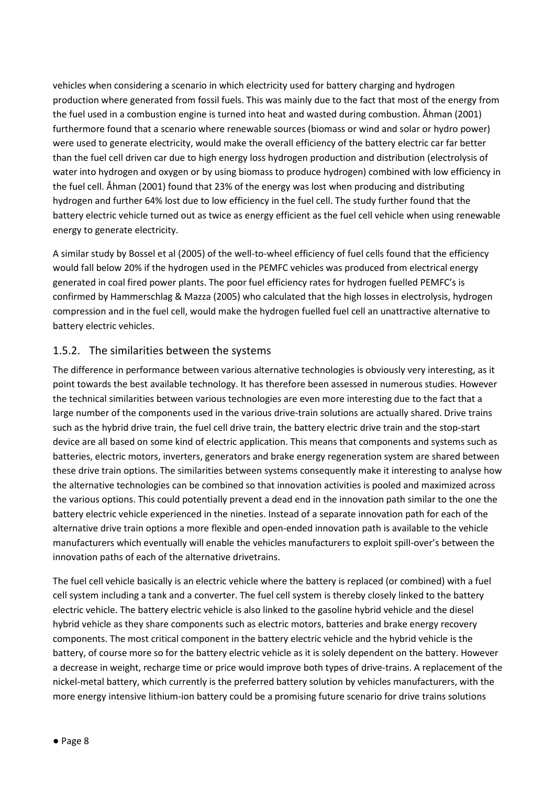vehicles when considering a scenario in which electricity used for battery charging and hydrogen production where generated from fossil fuels. This was mainly due to the fact that most of the energy from the fuel used in a combustion engine is turned into heat and wasted during combustion. Åhman (2001) furthermore found that a scenario where renewable sources (biomass or wind and solar or hydro power) were used to generate electricity, would make the overall efficiency of the battery electric car far better than the fuel cell driven car due to high energy loss hydrogen production and distribution (electrolysis of water into hydrogen and oxygen or by using biomass to produce hydrogen) combined with low efficiency in the fuel cell. Åhman (2001) found that 23% of the energy was lost when producing and distributing hydrogen and further 64% lost due to low efficiency in the fuel cell. The study further found that the battery electric vehicle turned out as twice as energy efficient as the fuel cell vehicle when using renewable energy to generate electricity.

A similar study by Bossel et al (2005) of the well-to-wheel efficiency of fuel cells found that the efficiency would fall below 20% if the hydrogen used in the PEMFC vehicles was produced from electrical energy generated in coal fired power plants. The poor fuel efficiency rates for hydrogen fuelled PEMFC's is confirmed by Hammerschlag & Mazza (2005) who calculated that the high losses in electrolysis, hydrogen compression and in the fuel cell, would make the hydrogen fuelled fuel cell an unattractive alternative to battery electric vehicles.

### 1.5.2. The similarities between the systems

The difference in performance between various alternative technologies is obviously very interesting, as it point towards the best available technology. It has therefore been assessed in numerous studies. However the technical similarities between various technologies are even more interesting due to the fact that a large number of the components used in the various drive-train solutions are actually shared. Drive trains such as the hybrid drive train, the fuel cell drive train, the battery electric drive train and the stop-start device are all based on some kind of electric application. This means that components and systems such as batteries, electric motors, inverters, generators and brake energy regeneration system are shared between these drive train options. The similarities between systems consequently make it interesting to analyse how the alternative technologies can be combined so that innovation activities is pooled and maximized across the various options. This could potentially prevent a dead end in the innovation path similar to the one the battery electric vehicle experienced in the nineties. Instead of a separate innovation path for each of the alternative drive train options a more flexible and open-ended innovation path is available to the vehicle manufacturers which eventually will enable the vehicles manufacturers to exploit spill-over's between the innovation paths of each of the alternative drivetrains.

The fuel cell vehicle basically is an electric vehicle where the battery is replaced (or combined) with a fuel cell system including a tank and a converter. The fuel cell system is thereby closely linked to the battery electric vehicle. The battery electric vehicle is also linked to the gasoline hybrid vehicle and the diesel hybrid vehicle as they share components such as electric motors, batteries and brake energy recovery components. The most critical component in the battery electric vehicle and the hybrid vehicle is the battery, of course more so for the battery electric vehicle as it is solely dependent on the battery. However a decrease in weight, recharge time or price would improve both types of drive-trains. A replacement of the nickel-metal battery, which currently is the preferred battery solution by vehicles manufacturers, with the more energy intensive lithium-ion battery could be a promising future scenario for drive trains solutions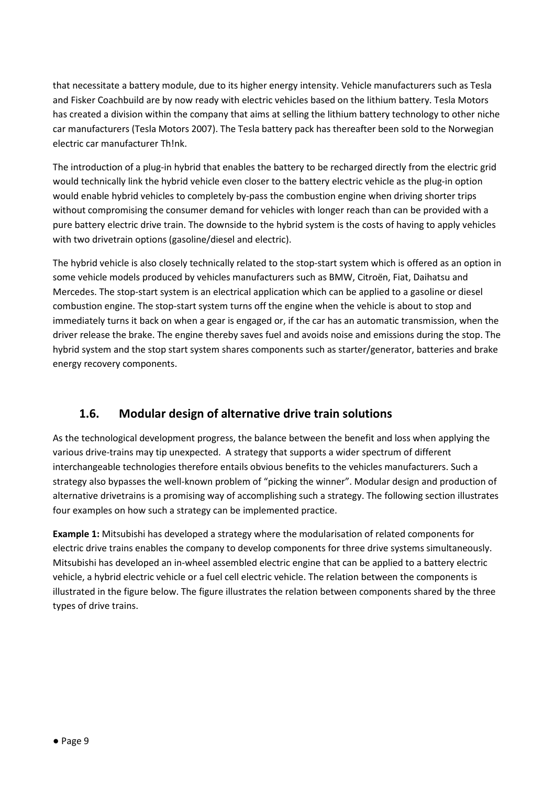that necessitate a battery module, due to its higher energy intensity. Vehicle manufacturers such as Tesla and Fisker Coachbuild are by now ready with electric vehicles based on the lithium battery. Tesla Motors has created a division within the company that aims at selling the lithium battery technology to other niche car manufacturers (Tesla Motors 2007). The Tesla battery pack has thereafter been sold to the Norwegian electric car manufacturer Th!nk.

The introduction of a plug-in hybrid that enables the battery to be recharged directly from the electric grid would technically link the hybrid vehicle even closer to the battery electric vehicle as the plug-in option would enable hybrid vehicles to completely by-pass the combustion engine when driving shorter trips without compromising the consumer demand for vehicles with longer reach than can be provided with a pure battery electric drive train. The downside to the hybrid system is the costs of having to apply vehicles with two drivetrain options (gasoline/diesel and electric).

The hybrid vehicle is also closely technically related to the stop-start system which is offered as an option in some vehicle models produced by vehicles manufacturers such as BMW, Citroën, Fiat, Daihatsu and Mercedes. The stop-start system is an electrical application which can be applied to a gasoline or diesel combustion engine. The stop-start system turns off the engine when the vehicle is about to stop and immediately turns it back on when a gear is engaged or, if the car has an automatic transmission, when the driver release the brake. The engine thereby saves fuel and avoids noise and emissions during the stop. The hybrid system and the stop start system shares components such as starter/generator, batteries and brake energy recovery components.

### 1.6. Modular design of alternative drive train solutions

As the technological development progress, the balance between the benefit and loss when applying the various drive-trains may tip unexpected. A strategy that supports a wider spectrum of different interchangeable technologies therefore entails obvious benefits to the vehicles manufacturers. Such a strategy also bypasses the well-known problem of "picking the winner". Modular design and production of alternative drivetrains is a promising way of accomplishing such a strategy. The following section illustrates four examples on how such a strategy can be implemented practice.

Example 1: Mitsubishi has developed a strategy where the modularisation of related components for electric drive trains enables the company to develop components for three drive systems simultaneously. Mitsubishi has developed an in-wheel assembled electric engine that can be applied to a battery electric vehicle, a hybrid electric vehicle or a fuel cell electric vehicle. The relation between the components is illustrated in the figure below. The figure illustrates the relation between components shared by the three types of drive trains.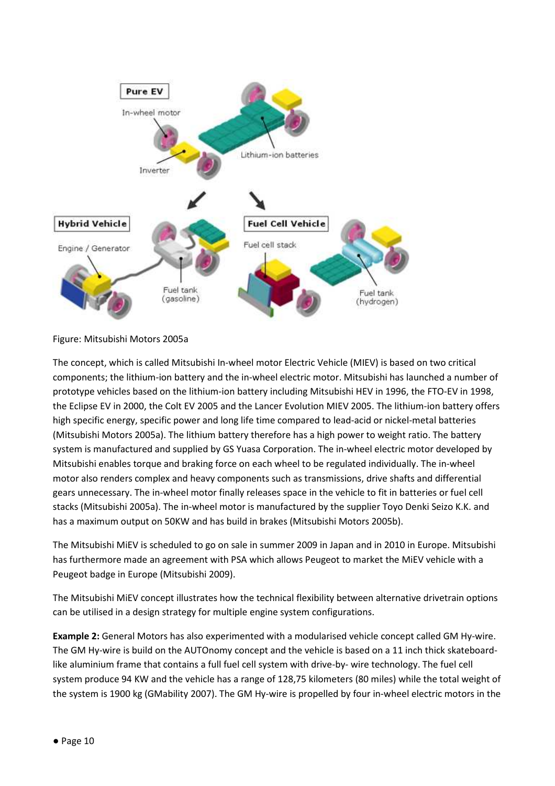

Figure: Mitsubishi Motors 2005a

The concept, which is called Mitsubishi In-wheel motor Electric Vehicle (MIEV) is based on two critical components; the lithium-ion battery and the in-wheel electric motor. Mitsubishi has launched a number of prototype vehicles based on the lithium-ion battery including Mitsubishi HEV in 1996, the FTO-EV in 1998, the Eclipse EV in 2000, the Colt EV 2005 and the Lancer Evolution MIEV 2005. The lithium-ion battery offers high specific energy, specific power and long life time compared to lead-acid or nickel-metal batteries (Mitsubishi Motors 2005a). The lithium battery therefore has a high power to weight ratio. The battery system is manufactured and supplied by GS Yuasa Corporation. The in-wheel electric motor developed by Mitsubishi enables torque and braking force on each wheel to be regulated individually. The in-wheel motor also renders complex and heavy components such as transmissions, drive shafts and differential gears unnecessary. The in-wheel motor finally releases space in the vehicle to fit in batteries or fuel cell stacks (Mitsubishi 2005a). The in-wheel motor is manufactured by the supplier Toyo Denki Seizo K.K. and has a maximum output on 50KW and has build in brakes (Mitsubishi Motors 2005b).

The Mitsubishi MiEV is scheduled to go on sale in summer 2009 in Japan and in 2010 in Europe. Mitsubishi has furthermore made an agreement with PSA which allows Peugeot to market the MiEV vehicle with a Peugeot badge in Europe (Mitsubishi 2009).

The Mitsubishi MiEV concept illustrates how the technical flexibility between alternative drivetrain options can be utilised in a design strategy for multiple engine system configurations.

Example 2: General Motors has also experimented with a modularised vehicle concept called GM Hy-wire. The GM Hy-wire is build on the AUTOnomy concept and the vehicle is based on a 11 inch thick skateboardlike aluminium frame that contains a full fuel cell system with drive-by- wire technology. The fuel cell system produce 94 KW and the vehicle has a range of 128,75 kilometers (80 miles) while the total weight of the system is 1900 kg (GMability 2007). The GM Hy-wire is propelled by four in-wheel electric motors in the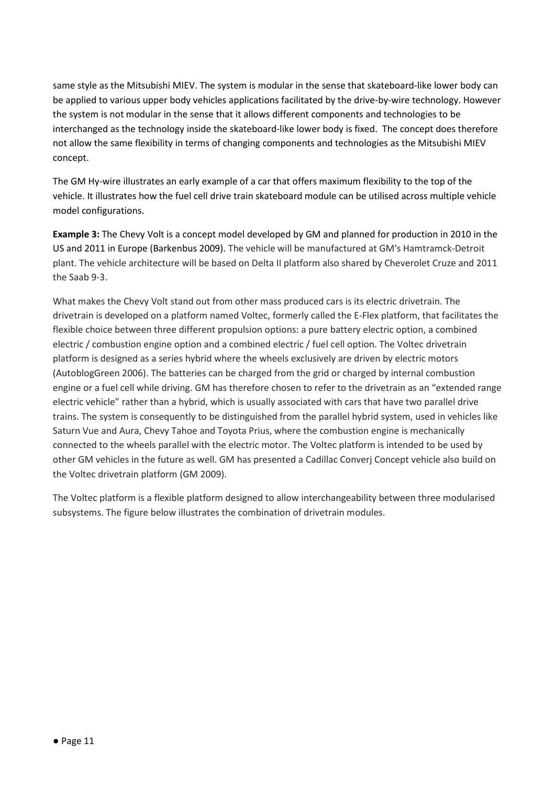same style as the Mitsubishi MIEV. The system is modular in the sense that skateboard-like lower body can be applied to various upper body vehicles applications facilitated by the drive-by-wire technology. However the system is not modular in the sense that it allows different components and technologies to be interchanged as the technology inside the skateboard-like lower body is fixed. The concept does therefore not allow the same flexibility in terms of changing components and technologies as the Mitsubishi MIEV concept.

The GM Hy-wire illustrates an early example of a car that offers maximum flexibility to the top of the vehicle. It illustrates how the fuel cell drive train skateboard module can be utilised across multiple vehicle model configurations.

Example 3: The Chevy Volt is a concept model developed by GM and planned for production in 2010 in the US and 2011 in Europe (Barkenbus 2009). The vehicle will be manufactured at GM's Hamtramck-Detroit plant. The vehicle architecture will be based on Delta II platform also shared by Cheverolet Cruze and 2011 the Saab 9-3.

What makes the Chevy Volt stand out from other mass produced cars is its electric drivetrain. The drivetrain is developed on a platform named Voltec, formerly called the E-Flex platform, that facilitates the flexible choice between three different propulsion options: a pure battery electric option, a combined electric / combustion engine option and a combined electric / fuel cell option. The Voltec drivetrain platform is designed as a series hybrid where the wheels exclusively are driven by electric motors (AutoblogGreen 2006). The batteries can be charged from the grid or charged by internal combustion engine or a fuel cell while driving. GM has therefore chosen to refer to the drivetrain as an "extended range electric vehicle" rather than a hybrid, which is usually associated with cars that have two parallel drive trains. The system is consequently to be distinguished from the parallel hybrid system, used in vehicles like Saturn Vue and Aura, Chevy Tahoe and Toyota Prius, where the combustion engine is mechanically connected to the wheels parallel with the electric motor. The Voltec platform is intended to be used by other GM vehicles in the future as well. GM has presented a Cadillac Converj Concept vehicle also build on the Voltec drivetrain platform (GM 2009).

The Voltec platform is a flexible platform designed to allow interchangeability between three modularised subsystems. The figure below illustrates the combination of drivetrain modules.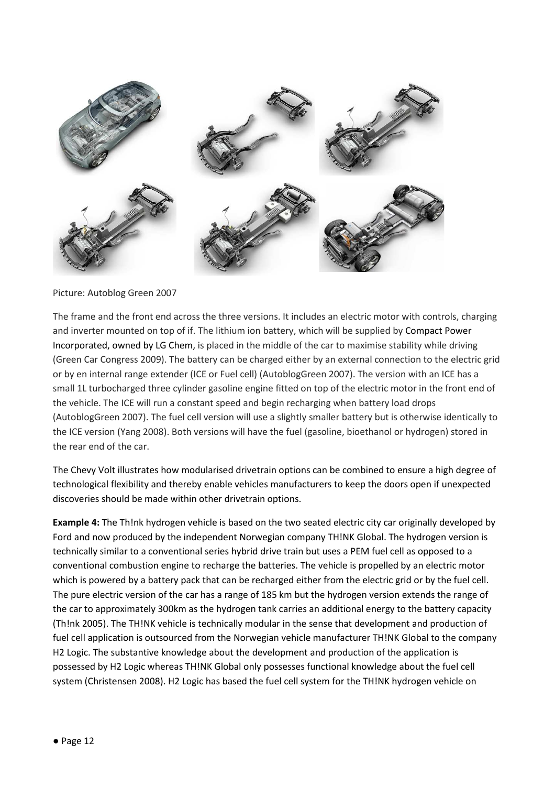

Picture: Autoblog Green 2007

The frame and the front end across the three versions. It includes an electric motor with controls, charging and inverter mounted on top of if. The lithium ion battery, which will be supplied by Compact Power Incorporated, owned by LG Chem, is placed in the middle of the car to maximise stability while driving (Green Car Congress 2009). The battery can be charged either by an external connection to the electric grid or by en internal range extender (ICE or Fuel cell) (AutoblogGreen 2007). The version with an ICE has a small 1L turbocharged three cylinder gasoline engine fitted on top of the electric motor in the front end of the vehicle. The ICE will run a constant speed and begin recharging when battery load drops (AutoblogGreen 2007). The fuel cell version will use a slightly smaller battery but is otherwise identically to the ICE version (Yang 2008). Both versions will have the fuel (gasoline, bioethanol or hydrogen) stored in the rear end of the car.

The Chevy Volt illustrates how modularised drivetrain options can be combined to ensure a high degree of technological flexibility and thereby enable vehicles manufacturers to keep the doors open if unexpected discoveries should be made within other drivetrain options.

Example 4: The Th!nk hydrogen vehicle is based on the two seated electric city car originally developed by Ford and now produced by the independent Norwegian company TH!NK Global. The hydrogen version is technically similar to a conventional series hybrid drive train but uses a PEM fuel cell as opposed to a conventional combustion engine to recharge the batteries. The vehicle is propelled by an electric motor which is powered by a battery pack that can be recharged either from the electric grid or by the fuel cell. The pure electric version of the car has a range of 185 km but the hydrogen version extends the range of the car to approximately 300km as the hydrogen tank carries an additional energy to the battery capacity (Th!nk 2005). The TH!NK vehicle is technically modular in the sense that development and production of fuel cell application is outsourced from the Norwegian vehicle manufacturer TH!NK Global to the company H2 Logic. The substantive knowledge about the development and production of the application is possessed by H2 Logic whereas TH!NK Global only possesses functional knowledge about the fuel cell system (Christensen 2008). H2 Logic has based the fuel cell system for the TH!NK hydrogen vehicle on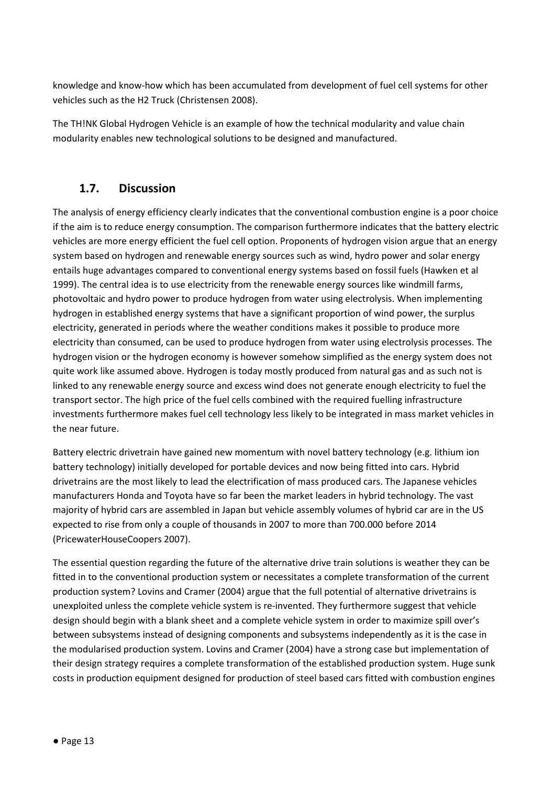knowledge and know-how which has been accumulated from development of fuel cell systems for other vehicles such as the H2 Truck (Christensen 2008).

The TH!NK Global Hydrogen Vehicle is an example of how the technical modularity and value chain modularity enables new technological solutions to be designed and manufactured.

### 1.7. Discussion

The analysis of energy efficiency clearly indicates that the conventional combustion engine is a poor choice if the aim is to reduce energy consumption. The comparison furthermore indicates that the battery electric vehicles are more energy efficient the fuel cell option. Proponents of hydrogen vision argue that an energy system based on hydrogen and renewable energy sources such as wind, hydro power and solar energy entails huge advantages compared to conventional energy systems based on fossil fuels (Hawken et al 1999). The central idea is to use electricity from the renewable energy sources like windmill farms, photovoltaic and hydro power to produce hydrogen from water using electrolysis. When implementing hydrogen in established energy systems that have a significant proportion of wind power, the surplus electricity, generated in periods where the weather conditions makes it possible to produce more electricity than consumed, can be used to produce hydrogen from water using electrolysis processes. The hydrogen vision or the hydrogen economy is however somehow simplified as the energy system does not quite work like assumed above. Hydrogen is today mostly produced from natural gas and as such not is linked to any renewable energy source and excess wind does not generate enough electricity to fuel the transport sector. The high price of the fuel cells combined with the required fuelling infrastructure investments furthermore makes fuel cell technology less likely to be integrated in mass market vehicles in the near future.

Battery electric drivetrain have gained new momentum with novel battery technology (e.g. lithium ion battery technology) initially developed for portable devices and now being fitted into cars. Hybrid drivetrains are the most likely to lead the electrification of mass produced cars. The Japanese vehicles manufacturers Honda and Toyota have so far been the market leaders in hybrid technology. The vast majority of hybrid cars are assembled in Japan but vehicle assembly volumes of hybrid car are in the US expected to rise from only a couple of thousands in 2007 to more than 700.000 before 2014 (PricewaterHouseCoopers 2007).

The essential question regarding the future of the alternative drive train solutions is weather they can be fitted in to the conventional production system or necessitates a complete transformation of the current production system? Lovins and Cramer (2004) argue that the full potential of alternative drivetrains is unexploited unless the complete vehicle system is re-invented. They furthermore suggest that vehicle design should begin with a blank sheet and a complete vehicle system in order to maximize spill over's between subsystems instead of designing components and subsystems independently as it is the case in the modularised production system. Lovins and Cramer (2004) have a strong case but implementation of their design strategy requires a complete transformation of the established production system. Huge sunk costs in production equipment designed for production of steel based cars fitted with combustion engines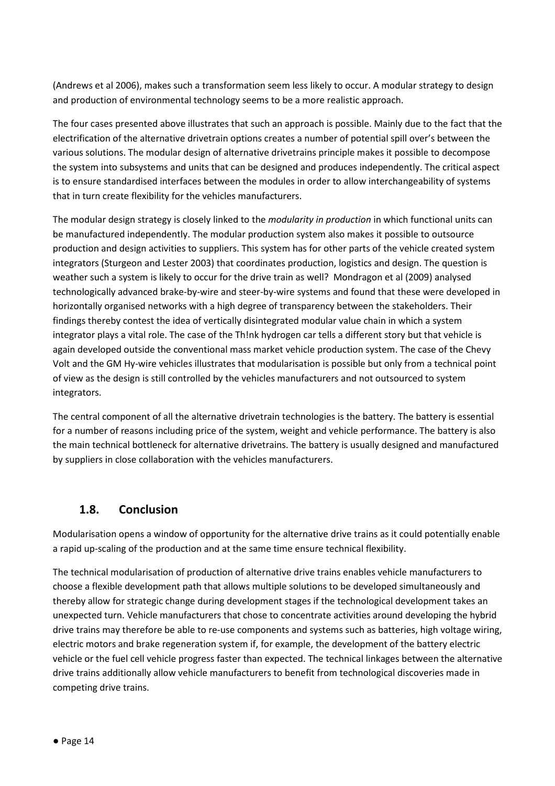(Andrews et al 2006), makes such a transformation seem less likely to occur. A modular strategy to design and production of environmental technology seems to be a more realistic approach.

The four cases presented above illustrates that such an approach is possible. Mainly due to the fact that the electrification of the alternative drivetrain options creates a number of potential spill over's between the various solutions. The modular design of alternative drivetrains principle makes it possible to decompose the system into subsystems and units that can be designed and produces independently. The critical aspect is to ensure standardised interfaces between the modules in order to allow interchangeability of systems that in turn create flexibility for the vehicles manufacturers.

The modular design strategy is closely linked to the *modularity in production* in which functional units can be manufactured independently. The modular production system also makes it possible to outsource production and design activities to suppliers. This system has for other parts of the vehicle created system integrators (Sturgeon and Lester 2003) that coordinates production, logistics and design. The question is weather such a system is likely to occur for the drive train as well? Mondragon et al (2009) analysed technologically advanced brake-by-wire and steer-by-wire systems and found that these were developed in horizontally organised networks with a high degree of transparency between the stakeholders. Their findings thereby contest the idea of vertically disintegrated modular value chain in which a system integrator plays a vital role. The case of the Th!nk hydrogen car tells a different story but that vehicle is again developed outside the conventional mass market vehicle production system. The case of the Chevy Volt and the GM Hy-wire vehicles illustrates that modularisation is possible but only from a technical point of view as the design is still controlled by the vehicles manufacturers and not outsourced to system integrators.

The central component of all the alternative drivetrain technologies is the battery. The battery is essential for a number of reasons including price of the system, weight and vehicle performance. The battery is also the main technical bottleneck for alternative drivetrains. The battery is usually designed and manufactured by suppliers in close collaboration with the vehicles manufacturers.

### 1.8. Conclusion

Modularisation opens a window of opportunity for the alternative drive trains as it could potentially enable a rapid up-scaling of the production and at the same time ensure technical flexibility.

The technical modularisation of production of alternative drive trains enables vehicle manufacturers to choose a flexible development path that allows multiple solutions to be developed simultaneously and thereby allow for strategic change during development stages if the technological development takes an unexpected turn. Vehicle manufacturers that chose to concentrate activities around developing the hybrid drive trains may therefore be able to re-use components and systems such as batteries, high voltage wiring, electric motors and brake regeneration system if, for example, the development of the battery electric vehicle or the fuel cell vehicle progress faster than expected. The technical linkages between the alternative drive trains additionally allow vehicle manufacturers to benefit from technological discoveries made in competing drive trains.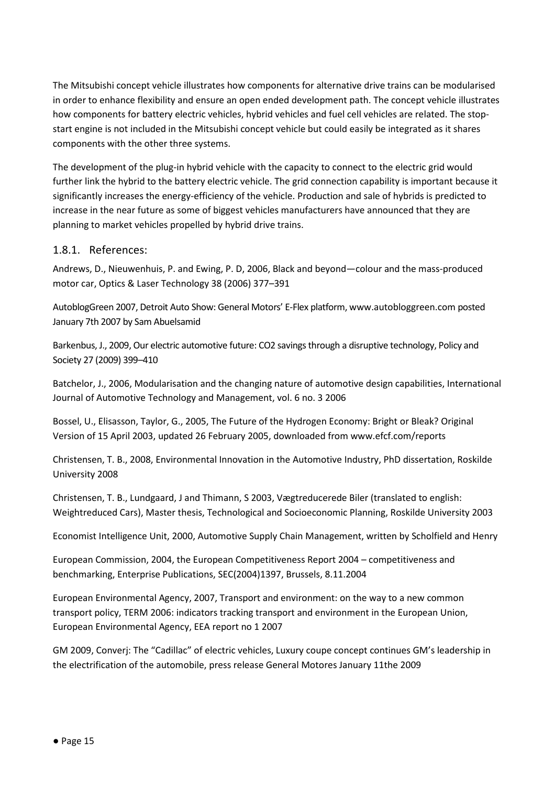The Mitsubishi concept vehicle illustrates how components for alternative drive trains can be modularised in order to enhance flexibility and ensure an open ended development path. The concept vehicle illustrates how components for battery electric vehicles, hybrid vehicles and fuel cell vehicles are related. The stopstart engine is not included in the Mitsubishi concept vehicle but could easily be integrated as it shares components with the other three systems.

The development of the plug-in hybrid vehicle with the capacity to connect to the electric grid would further link the hybrid to the battery electric vehicle. The grid connection capability is important because it significantly increases the energy-efficiency of the vehicle. Production and sale of hybrids is predicted to increase in the near future as some of biggest vehicles manufacturers have announced that they are planning to market vehicles propelled by hybrid drive trains.

#### 1.8.1. References:

Andrews, D., Nieuwenhuis, P. and Ewing, P. D, 2006, Black and beyond—colour and the mass-produced motor car, Optics & Laser Technology 38 (2006) 377–391

AutoblogGreen 2007, Detroit Auto Show: General Motors' E-Flex platform, www.autobloggreen.com posted January 7th 2007 by Sam Abuelsamid

Barkenbus, J., 2009, Our electric automotive future: CO2 savings through a disruptive technology, Policy and Society 27 (2009) 399–410

Batchelor, J., 2006, Modularisation and the changing nature of automotive design capabilities, International Journal of Automotive Technology and Management, vol. 6 no. 3 2006

Bossel, U., Elisasson, Taylor, G., 2005, The Future of the Hydrogen Economy: Bright or Bleak? Original Version of 15 April 2003, updated 26 February 2005, downloaded from www.efcf.com/reports

Christensen, T. B., 2008, Environmental Innovation in the Automotive Industry, PhD dissertation, Roskilde University 2008

Christensen, T. B., Lundgaard, J and Thimann, S 2003, Vægtreducerede Biler (translated to english: Weightreduced Cars), Master thesis, Technological and Socioeconomic Planning, Roskilde University 2003

Economist Intelligence Unit, 2000, Automotive Supply Chain Management, written by Scholfield and Henry

European Commission, 2004, the European Competitiveness Report 2004 – competitiveness and benchmarking, Enterprise Publications, SEC(2004)1397, Brussels, 8.11.2004

European Environmental Agency, 2007, Transport and environment: on the way to a new common transport policy, TERM 2006: indicators tracking transport and environment in the European Union, European Environmental Agency, EEA report no 1 2007

GM 2009, Converj: The "Cadillac" of electric vehicles, Luxury coupe concept continues GM's leadership in the electrification of the automobile, press release General Motores January 11the 2009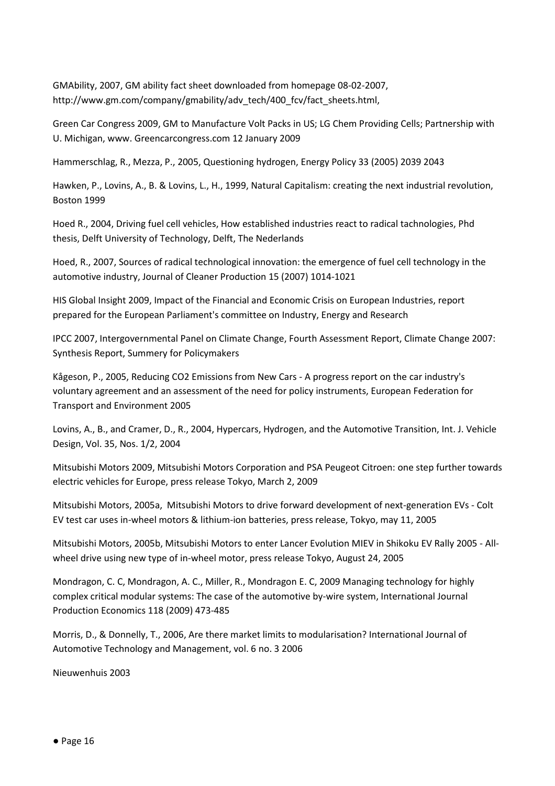GMAbility, 2007, GM ability fact sheet downloaded from homepage 08-02-2007, http://www.gm.com/company/gmability/adv\_tech/400\_fcv/fact\_sheets.html,

Green Car Congress 2009, GM to Manufacture Volt Packs in US; LG Chem Providing Cells; Partnership with U. Michigan, www. Greencarcongress.com 12 January 2009

Hammerschlag, R., Mezza, P., 2005, Questioning hydrogen, Energy Policy 33 (2005) 2039 2043

Hawken, P., Lovins, A., B. & Lovins, L., H., 1999, Natural Capitalism: creating the next industrial revolution, Boston 1999

Hoed R., 2004, Driving fuel cell vehicles, How established industries react to radical tachnologies, Phd thesis, Delft University of Technology, Delft, The Nederlands

Hoed, R., 2007, Sources of radical technological innovation: the emergence of fuel cell technology in the automotive industry, Journal of Cleaner Production 15 (2007) 1014-1021

HIS Global Insight 2009, Impact of the Financial and Economic Crisis on European Industries, report prepared for the European Parliament's committee on Industry, Energy and Research

IPCC 2007, Intergovernmental Panel on Climate Change, Fourth Assessment Report, Climate Change 2007: Synthesis Report, Summery for Policymakers

Kågeson, P., 2005, Reducing CO2 Emissions from New Cars - A progress report on the car industry's voluntary agreement and an assessment of the need for policy instruments, European Federation for Transport and Environment 2005

Lovins, A., B., and Cramer, D., R., 2004, Hypercars, Hydrogen, and the Automotive Transition, Int. J. Vehicle Design, Vol. 35, Nos. 1/2, 2004

Mitsubishi Motors 2009, Mitsubishi Motors Corporation and PSA Peugeot Citroen: one step further towards electric vehicles for Europe, press release Tokyo, March 2, 2009

Mitsubishi Motors, 2005a, Mitsubishi Motors to drive forward development of next-generation EVs - Colt EV test car uses in-wheel motors & lithium-ion batteries, press release, Tokyo, may 11, 2005

Mitsubishi Motors, 2005b, Mitsubishi Motors to enter Lancer Evolution MIEV in Shikoku EV Rally 2005 - Allwheel drive using new type of in-wheel motor, press release Tokyo, August 24, 2005

Mondragon, C. C, Mondragon, A. C., Miller, R., Mondragon E. C, 2009 Managing technology for highly complex critical modular systems: The case of the automotive by-wire system, International Journal Production Economics 118 (2009) 473-485

Morris, D., & Donnelly, T., 2006, Are there market limits to modularisation? International Journal of Automotive Technology and Management, vol. 6 no. 3 2006

Nieuwenhuis 2003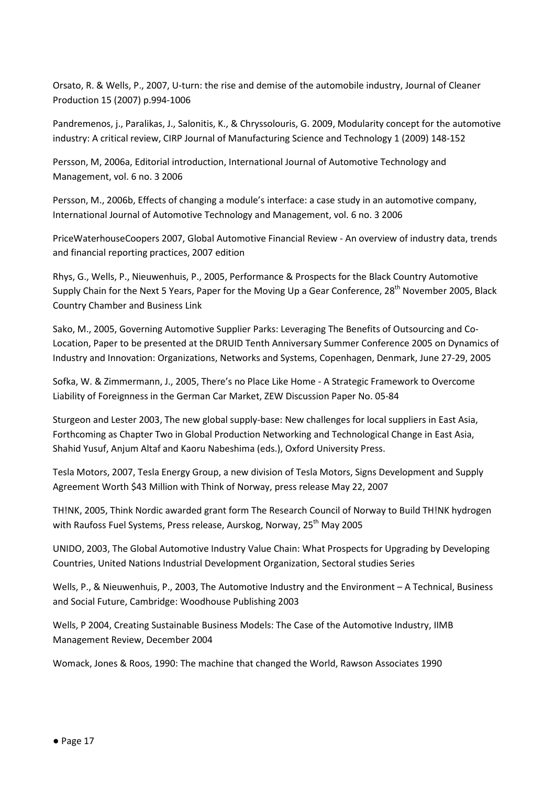Orsato, R. & Wells, P., 2007, U-turn: the rise and demise of the automobile industry, Journal of Cleaner Production 15 (2007) p.994-1006

Pandremenos, j., Paralikas, J., Salonitis, K., & Chryssolouris, G. 2009, Modularity concept for the automotive industry: A critical review, CIRP Journal of Manufacturing Science and Technology 1 (2009) 148-152

Persson, M, 2006a, Editorial introduction, International Journal of Automotive Technology and Management, vol. 6 no. 3 2006

Persson, M., 2006b, Effects of changing a module's interface: a case study in an automotive company, International Journal of Automotive Technology and Management, vol. 6 no. 3 2006

PriceWaterhouseCoopers 2007, Global Automotive Financial Review - An overview of industry data, trends and financial reporting practices, 2007 edition

Rhys, G., Wells, P., Nieuwenhuis, P., 2005, Performance & Prospects for the Black Country Automotive Supply Chain for the Next 5 Years, Paper for the Moving Up a Gear Conference, 28<sup>th</sup> November 2005. Black Country Chamber and Business Link

Sako, M., 2005, Governing Automotive Supplier Parks: Leveraging The Benefits of Outsourcing and Co-Location, Paper to be presented at the DRUID Tenth Anniversary Summer Conference 2005 on Dynamics of Industry and Innovation: Organizations, Networks and Systems, Copenhagen, Denmark, June 27-29, 2005

Sofka, W. & Zimmermann, J., 2005, There's no Place Like Home - A Strategic Framework to Overcome Liability of Foreignness in the German Car Market, ZEW Discussion Paper No. 05-84

Sturgeon and Lester 2003, The new global supply-base: New challenges for local suppliers in East Asia, Forthcoming as Chapter Two in Global Production Networking and Technological Change in East Asia, Shahid Yusuf, Anjum Altaf and Kaoru Nabeshima (eds.), Oxford University Press.

Tesla Motors, 2007, Tesla Energy Group, a new division of Tesla Motors, Signs Development and Supply Agreement Worth \$43 Million with Think of Norway, press release May 22, 2007

TH!NK, 2005, Think Nordic awarded grant form The Research Council of Norway to Build TH!NK hydrogen with Raufoss Fuel Systems, Press release, Aurskog, Norway, 25<sup>th</sup> May 2005

UNIDO, 2003, The Global Automotive Industry Value Chain: What Prospects for Upgrading by Developing Countries, United Nations Industrial Development Organization, Sectoral studies Series

Wells, P., & Nieuwenhuis, P., 2003, The Automotive Industry and the Environment – A Technical, Business and Social Future, Cambridge: Woodhouse Publishing 2003

Wells, P 2004, Creating Sustainable Business Models: The Case of the Automotive Industry, IIMB Management Review, December 2004

Womack, Jones & Roos, 1990: The machine that changed the World, Rawson Associates 1990